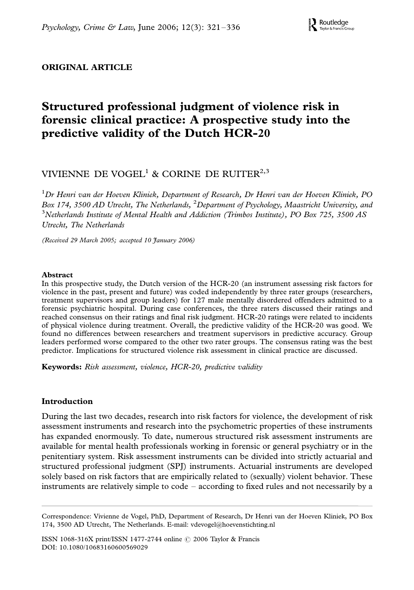## ORIGINAL ARTICLE

# Structured professional judgment of violence risk in forensic clinical practice: A prospective study into the predictive validity of the Dutch HCR-20

## VIVIENNE DE VOGEL<sup>1</sup> & CORINE DE RUITER<sup>2,3</sup>

 $^1D$ r Henri van der Hoeven Kliniek, Department of Research, Dr Henri van der Hoeven Kliniek, PO Box 174, 3500 AD Utrecht, The Netherlands, <sup>2</sup>Department of Psychology, Maastricht University, and <sup>3</sup>Netherlands Institute of Mental Health and Addiction (Trimbos Institute), PO Box 725, 3500 AS Utrecht, The Netherlands

(Received 29 March 2005; accepted 10 January 2006)

### Abstract

In this prospective study, the Dutch version of the HCR-20 (an instrument assessing risk factors for violence in the past, present and future) was coded independently by three rater groups (researchers, treatment supervisors and group leaders) for 127 male mentally disordered offenders admitted to a forensic psychiatric hospital. During case conferences, the three raters discussed their ratings and reached consensus on their ratings and final risk judgment. HCR-20 ratings were related to incidents of physical violence during treatment. Overall, the predictive validity of the HCR-20 was good. We found no differences between researchers and treatment supervisors in predictive accuracy. Group leaders performed worse compared to the other two rater groups. The consensus rating was the best predictor. Implications for structured violence risk assessment in clinical practice are discussed.

Keywords: Risk assessment, violence, HCR-20, predictive validity

## Introduction

During the last two decades, research into risk factors for violence, the development of risk assessment instruments and research into the psychometric properties of these instruments has expanded enormously. To date, numerous structured risk assessment instruments are available for mental health professionals working in forensic or general psychiatry or in the penitentiary system. Risk assessment instruments can be divided into strictly actuarial and structured professional judgment (SPJ) instruments. Actuarial instruments are developed solely based on risk factors that are empirically related to (sexually) violent behavior. These instruments are relatively simple to code  $-$  according to fixed rules and not necessarily by a

Correspondence: Vivienne de Vogel, PhD, Department of Research, Dr Henri van der Hoeven Kliniek, PO Box 174, 3500 AD Utrecht, The Netherlands. E-mail: vdevogel@hoevenstichting.nl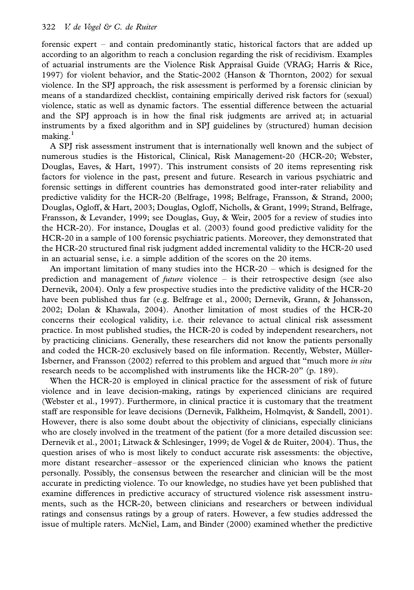forensic expert  $-$  and contain predominantly static, historical factors that are added up according to an algorithm to reach a conclusion regarding the risk of recidivism. Examples of actuarial instruments are the Violence Risk Appraisal Guide (VRAG; Harris & Rice, 1997) for violent behavior, and the Static-2002 (Hanson & Thornton, 2002) for sexual violence. In the SPJ approach, the risk assessment is performed by a forensic clinician by means of a standardized checklist, containing empirically derived risk factors for (sexual) violence, static as well as dynamic factors. The essential difference between the actuarial and the SPJ approach is in how the final risk judgments are arrived at; in actuarial instruments by a fixed algorithm and in SPJ guidelines by (structured) human decision  $m$ aking.<sup>1</sup>

A SPJ risk assessment instrument that is internationally well known and the subject of numerous studies is the Historical, Clinical, Risk Management-20 (HCR-20; Webster, Douglas, Eaves, & Hart, 1997). This instrument consists of 20 items representing risk factors for violence in the past, present and future. Research in various psychiatric and forensic settings in different countries has demonstrated good inter-rater reliability and predictive validity for the HCR-20 (Belfrage, 1998; Belfrage, Fransson, & Strand, 2000; Douglas, Ogloff, & Hart, 2003; Douglas, Ogloff, Nicholls, & Grant, 1999; Strand, Belfrage, Fransson, & Levander, 1999; see Douglas, Guy, & Weir, 2005 for a review of studies into the HCR-20). For instance, Douglas et al. (2003) found good predictive validity for the HCR-20 in a sample of 100 forensic psychiatric patients. Moreover, they demonstrated that the HCR-20 structured final risk judgment added incremental validity to the HCR-20 used in an actuarial sense, i.e. a simple addition of the scores on the 20 items.

An important limitation of many studies into the HCR-20  $-$  which is designed for the prediction and management of *future* violence  $-$  is their retrospective design (see also Dernevik, 2004). Only a few prospective studies into the predictive validity of the HCR-20 have been published thus far (e.g. Belfrage et al., 2000; Dernevik, Grann, & Johansson, 2002; Dolan & Khawala, 2004). Another limitation of most studies of the HCR-20 concerns their ecological validity, i.e. their relevance to actual clinical risk assessment practice. In most published studies, the HCR-20 is coded by independent researchers, not by practicing clinicians. Generally, these researchers did not know the patients personally and coded the HCR-20 exclusively based on file information. Recently, Webster, Müller-Isberner, and Fransson (2002) referred to this problem and argued that "much more in situ research needs to be accomplished with instruments like the HCR-20'' (p. 189).

When the HCR-20 is employed in clinical practice for the assessment of risk of future violence and in leave decision-making, ratings by experienced clinicians are required (Webster et al., 1997). Furthermore, in clinical practice it is customary that the treatment staff are responsible for leave decisions (Dernevik, Falkheim, Holmqvist, & Sandell, 2001). However, there is also some doubt about the objectivity of clinicians, especially clinicians who are closely involved in the treatment of the patient (for a more detailed discussion see: Dernevik et al., 2001; Litwack & Schlesinger, 1999; de Vogel & de Ruiter, 2004). Thus, the question arises of who is most likely to conduct accurate risk assessments: the objective, more distant researcher-assessor or the experienced clinician who knows the patient personally. Possibly, the consensus between the researcher and clinician will be the most accurate in predicting violence. To our knowledge, no studies have yet been published that examine differences in predictive accuracy of structured violence risk assessment instruments, such as the HCR-20, between clinicians and researchers or between individual ratings and consensus ratings by a group of raters. However, a few studies addressed the issue of multiple raters. McNiel, Lam, and Binder (2000) examined whether the predictive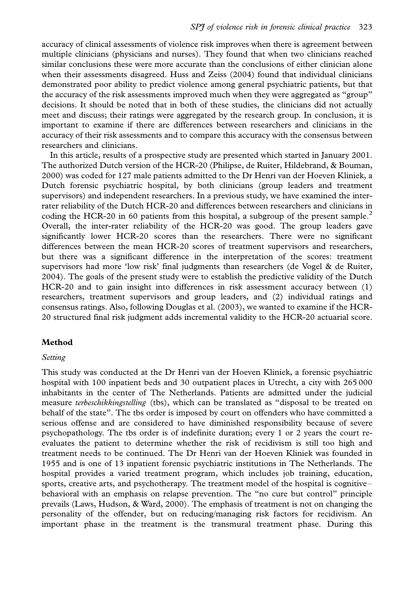accuracy of clinical assessments of violence risk improves when there is agreement between multiple clinicians (physicians and nurses). They found that when two clinicians reached similar conclusions these were more accurate than the conclusions of either clinician alone when their assessments disagreed. Huss and Zeiss (2004) found that individual clinicians demonstrated poor ability to predict violence among general psychiatric patients, but that the accuracy of the risk assessments improved much when they were aggregated as ''group'' decisions. It should be noted that in both of these studies, the clinicians did not actually meet and discuss; their ratings were aggregated by the research group. In conclusion, it is important to examine if there are differences between researchers and clinicians in the accuracy of their risk assessments and to compare this accuracy with the consensus between researchers and clinicians.

In this article, results of a prospective study are presented which started in January 2001. The authorized Dutch version of the HCR-20 (Philipse, de Ruiter, Hildebrand, & Bouman, 2000) was coded for 127 male patients admitted to the Dr Henri van der Hoeven Kliniek, a Dutch forensic psychiatric hospital, by both clinicians (group leaders and treatment supervisors) and independent researchers. In a previous study, we have examined the interrater reliability of the Dutch HCR-20 and differences between researchers and clinicians in coding the HCR-20 in 60 patients from this hospital, a subgroup of the present sample. $^{2}$ Overall, the inter-rater reliability of the HCR-20 was good. The group leaders gave significantly lower HCR-20 scores than the researchers. There were no significant differences between the mean HCR-20 scores of treatment supervisors and researchers, but there was a significant difference in the interpretation of the scores: treatment supervisors had more 'low risk' final judgments than researchers (de Vogel & de Ruiter, 2004). The goals of the present study were to establish the predictive validity of the Dutch HCR-20 and to gain insight into differences in risk assessment accuracy between (1) researchers, treatment supervisors and group leaders, and (2) individual ratings and consensus ratings. Also, following Douglas et al. (2003), we wanted to examine if the HCR-20 structured final risk judgment adds incremental validity to the HCR-20 actuarial score.

### Method

#### Setting

This study was conducted at the Dr Henri van der Hoeven Kliniek, a forensic psychiatric hospital with 100 inpatient beds and 30 outpatient places in Utrecht, a city with 265 000 inhabitants in the center of The Netherlands. Patients are admitted under the judicial measure terbeschikkingstelling (tbs), which can be translated as "disposal to be treated on behalf of the state''. The tbs order is imposed by court on offenders who have committed a serious offense and are considered to have diminished responsibility because of severe psychopathology. The tbs order is of indefinite duration; every 1 or 2 years the court reevaluates the patient to determine whether the risk of recidivism is still too high and treatment needs to be continued. The Dr Henri van der Hoeven Kliniek was founded in 1955 and is one of 13 inpatient forensic psychiatric institutions in The Netherlands. The hospital provides a varied treatment program, which includes job training, education, sports, creative arts, and psychotherapy. The treatment model of the hospital is cognitive behavioral with an emphasis on relapse prevention. The ''no cure but control'' principle prevails (Laws, Hudson, & Ward, 2000). The emphasis of treatment is not on changing the personality of the offender, but on reducing/managing risk factors for recidivism. An important phase in the treatment is the transmural treatment phase. During this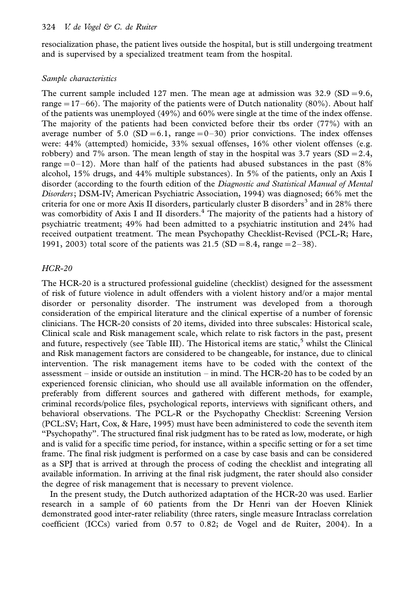resocialization phase, the patient lives outside the hospital, but is still undergoing treatment and is supervised by a specialized treatment team from the hospital.

## Sample characteristics

The current sample included 127 men. The mean age at admission was  $32.9 \text{ (SD} = 9.6,$ range  $=$  17–66). The majority of the patients were of Dutch nationality (80%). About half of the patients was unemployed (49%) and 60% were single at the time of the index offense. The majority of the patients had been convicted before their tbs order (77%) with an average number of 5.0 (SD = 6.1, range =  $0-30$ ) prior convictions. The index offenses were: 44% (attempted) homicide, 33% sexual offenses, 16% other violent offenses (e.g. robbery) and 7% arson. The mean length of stay in the hospital was 3.7 years  $(SD = 2.4,$ range  $=0-12$ ). More than half of the patients had abused substances in the past (8% alcohol, 15% drugs, and 44% multiple substances). In 5% of the patients, only an Axis I disorder (according to the fourth edition of the Diagnostic and Statistical Manual of Mental Disorders; DSM-IV; American Psychiatric Association, 1994) was diagnosed; 66% met the criteria for one or more Axis II disorders, particularly cluster B disorders<sup>3</sup> and in 28% there was comorbidity of Axis I and II disorders.<sup>4</sup> The majority of the patients had a history of psychiatric treatment; 49% had been admitted to a psychiatric institution and 24% had received outpatient treatment. The mean Psychopathy Checklist-Revised (PCL-R; Hare, 1991, 2003) total score of the patients was 21.5 (SD = 8.4, range =  $2-38$ ).

## HCR-20

The HCR-20 is a structured professional guideline (checklist) designed for the assessment of risk of future violence in adult offenders with a violent history and/or a major mental disorder or personality disorder. The instrument was developed from a thorough consideration of the empirical literature and the clinical expertise of a number of forensic clinicians. The HCR-20 consists of 20 items, divided into three subscales: Historical scale, Clinical scale and Risk management scale, which relate to risk factors in the past, present and future, respectively (see Table III). The Historical items are static,<sup>5</sup> whilst the Clinical and Risk management factors are considered to be changeable, for instance, due to clinical intervention. The risk management items have to be coded with the context of the assessment  $-$  inside or outside an institution  $-$  in mind. The HCR-20 has to be coded by an experienced forensic clinician, who should use all available information on the offender, preferably from different sources and gathered with different methods, for example, criminal records/police files, psychological reports, interviews with significant others, and behavioral observations. The PCL-R or the Psychopathy Checklist: Screening Version (PCL:SV; Hart, Cox, & Hare, 1995) must have been administered to code the seventh item ''Psychopathy''. The structured final risk judgment has to be rated as low, moderate, or high and is valid for a specific time period, for instance, within a specific setting or for a set time frame. The final risk judgment is performed on a case by case basis and can be considered as a SPJ that is arrived at through the process of coding the checklist and integrating all available information. In arriving at the final risk judgment, the rater should also consider the degree of risk management that is necessary to prevent violence.

In the present study, the Dutch authorized adaptation of the HCR-20 was used. Earlier research in a sample of 60 patients from the Dr Henri van der Hoeven Kliniek demonstrated good inter-rater reliability (three raters, single measure Intraclass correlation coefficient (ICCs) varied from 0.57 to 0.82; de Vogel and de Ruiter, 2004). In a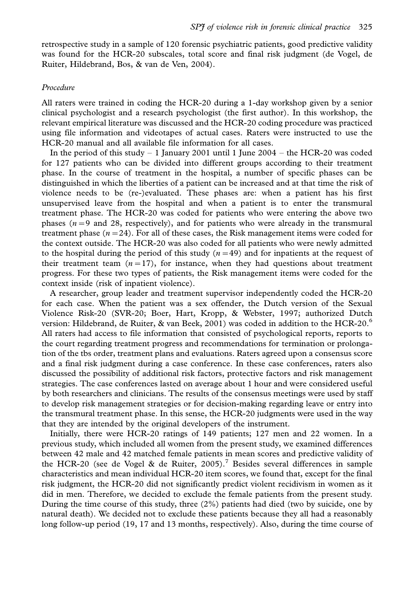retrospective study in a sample of 120 forensic psychiatric patients, good predictive validity was found for the HCR-20 subscales, total score and final risk judgment (de Vogel, de Ruiter, Hildebrand, Bos, & van de Ven, 2004).

## Procedure

All raters were trained in coding the HCR-20 during a 1-day workshop given by a senior clinical psychologist and a research psychologist (the first author). In this workshop, the relevant empirical literature was discussed and the HCR-20 coding procedure was practiced using file information and videotapes of actual cases. Raters were instructed to use the HCR-20 manual and all available file information for all cases.

In the period of this study  $-1$  January 2001 until 1 June 2004  $-$  the HCR-20 was coded for 127 patients who can be divided into different groups according to their treatment phase. In the course of treatment in the hospital, a number of specific phases can be distinguished in which the liberties of a patient can be increased and at that time the risk of violence needs to be (re-)evaluated. These phases are: when a patient has his first unsupervised leave from the hospital and when a patient is to enter the transmural treatment phase. The HCR-20 was coded for patients who were entering the above two phases  $(n=9)$  and 28, respectively), and for patients who were already in the transmural treatment phase  $(n=24)$ . For all of these cases, the Risk management items were coded for the context outside. The HCR-20 was also coded for all patients who were newly admitted to the hospital during the period of this study  $(n=49)$  and for inpatients at the request of their treatment team  $(n=17)$ , for instance, when they had questions about treatment progress. For these two types of patients, the Risk management items were coded for the context inside (risk of inpatient violence).

A researcher, group leader and treatment supervisor independently coded the HCR-20 for each case. When the patient was a sex offender, the Dutch version of the Sexual Violence Risk-20 (SVR-20; Boer, Hart, Kropp, & Webster, 1997; authorized Dutch version: Hildebrand, de Ruiter, & van Beek, 2001) was coded in addition to the HCR-20. $^6$ All raters had access to file information that consisted of psychological reports, reports to the court regarding treatment progress and recommendations for termination or prolongation of the tbs order, treatment plans and evaluations. Raters agreed upon a consensus score and a final risk judgment during a case conference. In these case conferences, raters also discussed the possibility of additional risk factors, protective factors and risk management strategies. The case conferences lasted on average about 1 hour and were considered useful by both researchers and clinicians. The results of the consensus meetings were used by staff to develop risk management strategies or for decision-making regarding leave or entry into the transmural treatment phase. In this sense, the HCR-20 judgments were used in the way that they are intended by the original developers of the instrument.

Initially, there were HCR-20 ratings of 149 patients; 127 men and 22 women. In a previous study, which included all women from the present study, we examined differences between 42 male and 42 matched female patients in mean scores and predictive validity of the HCR-20 (see de Vogel & de Ruiter, 2005).<sup>7</sup> Besides several differences in sample characteristics and mean individual HCR-20 item scores, we found that, except for the final risk judgment, the HCR-20 did not significantly predict violent recidivism in women as it did in men. Therefore, we decided to exclude the female patients from the present study. During the time course of this study, three (2%) patients had died (two by suicide, one by natural death). We decided not to exclude these patients because they all had a reasonably long follow-up period (19, 17 and 13 months, respectively). Also, during the time course of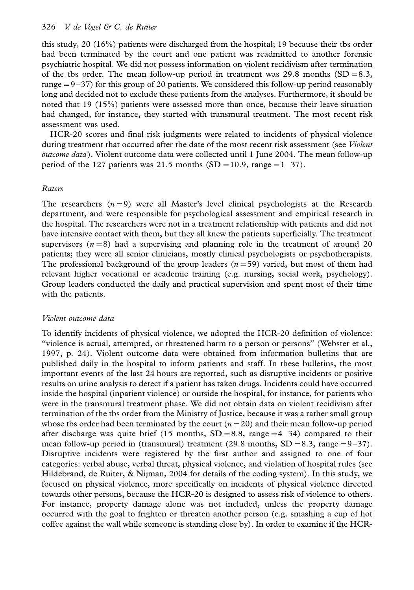## 326 V. de Vogel & C. de Ruiter

this study, 20 (16%) patients were discharged from the hospital; 19 because their tbs order had been terminated by the court and one patient was readmitted to another forensic psychiatric hospital. We did not possess information on violent recidivism after termination of the tbs order. The mean follow-up period in treatment was  $29.8$  months  $(SD = 8.3)$ , range =9–37) for this group of 20 patients. We considered this follow-up period reasonably long and decided not to exclude these patients from the analyses. Furthermore, it should be noted that 19 (15%) patients were assessed more than once, because their leave situation had changed, for instance, they started with transmural treatment. The most recent risk assessment was used.

HCR-20 scores and final risk judgments were related to incidents of physical violence during treatment that occurred after the date of the most recent risk assessment (see Violent outcome data). Violent outcome data were collected until 1 June 2004. The mean follow-up period of the 127 patients was 21.5 months  $(SD = 10.9, \text{ range} = 1-37)$ .

## Raters

The researchers  $(n=9)$  were all Master's level clinical psychologists at the Research department, and were responsible for psychological assessment and empirical research in the hospital. The researchers were not in a treatment relationship with patients and did not have intensive contact with them, but they all knew the patients superficially. The treatment supervisors  $(n=8)$  had a supervising and planning role in the treatment of around 20 patients; they were all senior clinicians, mostly clinical psychologists or psychotherapists. The professional background of the group leaders  $(n=59)$  varied, but most of them had relevant higher vocational or academic training (e.g. nursing, social work, psychology). Group leaders conducted the daily and practical supervision and spent most of their time with the patients.

## Violent outcome data

To identify incidents of physical violence, we adopted the HCR-20 definition of violence: ''violence is actual, attempted, or threatened harm to a person or persons'' (Webster et al., 1997, p. 24). Violent outcome data were obtained from information bulletins that are published daily in the hospital to inform patients and staff. In these bulletins, the most important events of the last 24 hours are reported, such as disruptive incidents or positive results on urine analysis to detect if a patient has taken drugs. Incidents could have occurred inside the hospital (inpatient violence) or outside the hospital, for instance, for patients who were in the transmural treatment phase. We did not obtain data on violent recidivism after termination of the tbs order from the Ministry of Justice, because it was a rather small group whose tbs order had been terminated by the court  $(n=20)$  and their mean follow-up period after discharge was quite brief (15 months,  $SD = 8.8$ , range  $= 4-34$ ) compared to their mean follow-up period in (transmural) treatment (29.8 months,  $SD = 8.3$ , range  $= 9-37$ ). Disruptive incidents were registered by the first author and assigned to one of four categories: verbal abuse, verbal threat, physical violence, and violation of hospital rules (see Hildebrand, de Ruiter, & Nijman, 2004 for details of the coding system). In this study, we focused on physical violence, more specifically on incidents of physical violence directed towards other persons, because the HCR-20 is designed to assess risk of violence to others. For instance, property damage alone was not included, unless the property damage occurred with the goal to frighten or threaten another person (e.g. smashing a cup of hot coffee against the wall while someone is standing close by). In order to examine if the HCR-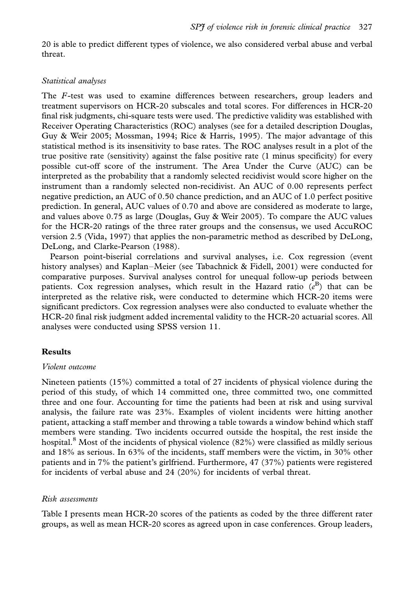20 is able to predict different types of violence, we also considered verbal abuse and verbal threat.

### Statistical analyses

The F-test was used to examine differences between researchers, group leaders and treatment supervisors on HCR-20 subscales and total scores. For differences in HCR-20 final risk judgments, chi-square tests were used. The predictive validity was established with Receiver Operating Characteristics (ROC) analyses (see for a detailed description Douglas, Guy & Weir 2005; Mossman, 1994; Rice & Harris, 1995). The major advantage of this statistical method is its insensitivity to base rates. The ROC analyses result in a plot of the true positive rate (sensitivity) against the false positive rate (1 minus specificity) for every possible cut-off score of the instrument. The Area Under the Curve (AUC) can be interpreted as the probability that a randomly selected recidivist would score higher on the instrument than a randomly selected non-recidivist. An AUC of 0.00 represents perfect negative prediction, an AUC of 0.50 chance prediction, and an AUC of 1.0 perfect positive prediction. In general, AUC values of 0.70 and above are considered as moderate to large, and values above 0.75 as large (Douglas, Guy & Weir 2005). To compare the AUC values for the HCR-20 ratings of the three rater groups and the consensus, we used AccuROC version 2.5 (Vida, 1997) that applies the non-parametric method as described by DeLong, DeLong, and Clarke-Pearson (1988).

Pearson point-biserial correlations and survival analyses, i.e. Cox regression (event history analyses) and Kaplan–Meier (see Tabachnick  $\&$  Fidell, 2001) were conducted for comparative purposes. Survival analyses control for unequal follow-up periods between patients. Cox regression analyses, which result in the Hazard ratio  $(e^{B})$  that can be interpreted as the relative risk, were conducted to determine which HCR-20 items were significant predictors. Cox regression analyses were also conducted to evaluate whether the HCR-20 final risk judgment added incremental validity to the HCR-20 actuarial scores. All analyses were conducted using SPSS version 11.

## Results

### Violent outcome

Nineteen patients (15%) committed a total of 27 incidents of physical violence during the period of this study, of which 14 committed one, three committed two, one committed three and one four. Accounting for time the patients had been at risk and using survival analysis, the failure rate was 23%. Examples of violent incidents were hitting another patient, attacking a staff member and throwing a table towards a window behind which staff members were standing. Two incidents occurred outside the hospital, the rest inside the hospital.<sup>8</sup> Most of the incidents of physical violence (82%) were classified as mildly serious and 18% as serious. In 63% of the incidents, staff members were the victim, in 30% other patients and in 7% the patient's girlfriend. Furthermore, 47 (37%) patients were registered for incidents of verbal abuse and 24 (20%) for incidents of verbal threat.

### Risk assessments

Table I presents mean HCR-20 scores of the patients as coded by the three different rater groups, as well as mean HCR-20 scores as agreed upon in case conferences. Group leaders,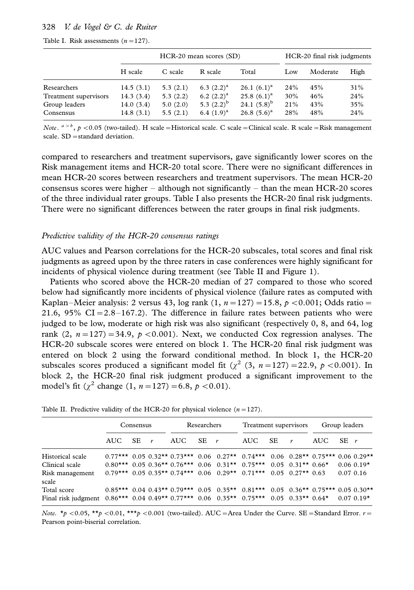|                       | HCR-20 mean scores (SD) |          |                 |                |     | HCR-20 final risk judgments |      |  |  |
|-----------------------|-------------------------|----------|-----------------|----------------|-----|-----------------------------|------|--|--|
|                       | H scale                 | C scale  | R scale         | Total          | Low | Moderate                    | High |  |  |
| Researchers           | 14.5(3.1)               | 5.3(2.1) | $6.3 (2.2)^a$   | $26.1~(6.1)^a$ | 24% | 45%                         | 31%  |  |  |
| Treatment supervisors | 14.3(3.4)               | 5.3(2.2) | $6.2$ $(2.2)^a$ | 25.8 $(6.1)^a$ | 30% | 46%                         | 24%  |  |  |
| Group leaders         | 14.0 (3.4)              | 5.0(2.0) | 5.3 $(2.2)^b$   | 24.1 $(5.8)^b$ | 21% | 43%                         | 35%  |  |  |
| Consensus             | 14.8(3.1)               | 5.5(2.1) | 6.4 $(1.9)^a$   | $26.8(5.6)^a$  | 28% | 48%                         | 24%  |  |  |

Table I. Risk assessments  $(n=127)$ .

Note.  $a > b$ ,  $p < 0.05$  (two-tailed). H scale = Historical scale. C scale = Clinical scale. R scale = Risk management scale. SD = standard deviation.

compared to researchers and treatment supervisors, gave significantly lower scores on the Risk management items and HCR-20 total score. There were no significant differences in mean HCR-20 scores between researchers and treatment supervisors. The mean HCR-20 consensus scores were higher  $-$  although not significantly  $-$  than the mean HCR-20 scores of the three individual rater groups. Table I also presents the HCR-20 final risk judgments. There were no significant differences between the rater groups in final risk judgments.

#### Predictive validity of the HCR-20 consensus ratings

AUC values and Pearson correlations for the HCR-20 subscales, total scores and final risk judgments as agreed upon by the three raters in case conferences were highly significant for incidents of physical violence during treatment (see Table II and Figure 1).

Patients who scored above the HCR-20 median of 27 compared to those who scored below had significantly more incidents of physical violence (failure rates as computed with Kaplan–Meier analysis: 2 versus 43, log rank  $(1, n=127) = 15.8, p < 0.001$ ; Odds ratio = 21.6,  $95\%$  CI = 2.8 - 167.2). The difference in failure rates between patients who were judged to be low, moderate or high risk was also significant (respectively 0, 8, and 64, log rank  $(2, n=127) = 34.9, p < 0.001$ . Next, we conducted Cox regression analyses. The HCR-20 subscale scores were entered on block 1. The HCR-20 final risk judgment was entered on block 2 using the forward conditional method. In block 1, the HCR-20 subscales scores produced a significant model fit ( $\chi^2$  (3,  $n = 127$ ) = 22.9,  $p < 0.001$ ). In block 2, the HCR-20 final risk judgment produced a significant improvement to the model's fit  $(\chi^2 \text{ change } (1, n=127) = 6.8, p < 0.01)$ .

Table II. Predictive validity of the HCR-20 for physical violence  $(n=127)$ .

|                                                                                                                   | Consensus  |  | Researchers |     | Treatment supervisors    |  |                                                                                   | Group leaders |   |     |                          |                |
|-------------------------------------------------------------------------------------------------------------------|------------|--|-------------|-----|--------------------------|--|-----------------------------------------------------------------------------------|---------------|---|-----|--------------------------|----------------|
|                                                                                                                   | AUC SE $r$ |  |             | AUC | $SE \rightharpoondown r$ |  | AUC                                                                               | - SE          | r | AUC | $SE \rightharpoondown r$ |                |
| Historical scale                                                                                                  |            |  |             |     |                          |  | $0.77***$ 0.05 0.32** 0.73*** 0.06 0.27** 0.74*** 0.06 0.28** 0.75*** 0.06 0.29** |               |   |     |                          |                |
| Clinical scale                                                                                                    |            |  |             |     |                          |  | $0.80***$ 0.05 0.36** 0.76*** 0.06 0.31** 0.75*** 0.05 0.31** 0.66*               |               |   |     |                          | $0.06$ $0.19*$ |
| Risk management<br>scale                                                                                          |            |  |             |     |                          |  | $0.79***$ 0.05 0.35** 0.74*** 0.06 0.29** 0.71*** 0.05 0.27** 0.63                |               |   |     | $0.07$ $0.16$            |                |
| Total score<br>Final risk judgment $0.86***$ 0.04 0.49** 0.77*** 0.06 0.35** 0.75*** 0.05 0.33** 0.64* 0.07 0.19* |            |  |             |     |                          |  | $0.85***$ 0.04 0.43** 0.79*** 0.05 0.35** 0.81*** 0.05 0.36** 0.75*** 0.05 0.30** |               |   |     |                          |                |

Note. \*p <0.05, \*\*p <0.01, \*\*\*p <0.001 (two-tailed). AUC = Area Under the Curve. SE = Standard Error.  $r =$ Pearson point-biserial correlation.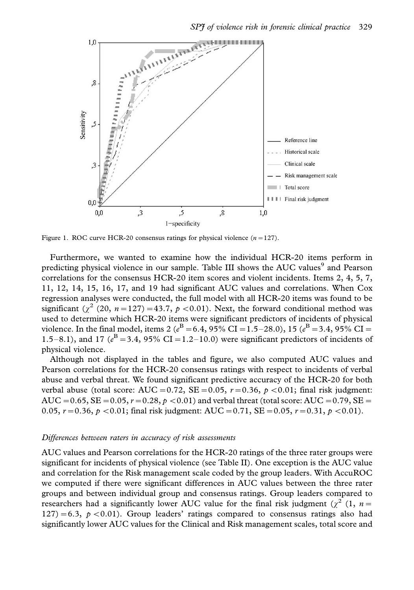

Figure 1. ROC curve HCR-20 consensus ratings for physical violence  $(n=127)$ .

Furthermore, we wanted to examine how the individual HCR-20 items perform in predicting physical violence in our sample. Table III shows the AUC values<sup>9</sup> and Pearson correlations for the consensus HCR-20 item scores and violent incidents. Items 2, 4, 5, 7, 11, 12, 14, 15, 16, 17, and 19 had significant AUC values and correlations. When Cox regression analyses were conducted, the full model with all HCR-20 items was found to be significant  $\left(\chi^2\right)(20, n=127) = 43.7, p < 0.01$ ). Next, the forward conditional method was used to determine which HCR-20 items were significant predictors of incidents of physical violence. In the final model, items 2 ( $e^{B} = 6.4$ , 95% CI = 1.5–28.0), 15 ( $e^{B} = 3.4$ , 95% CI = 1.5-8.1), and 17 ( $e^{B} = 3.4$ , 95% CI = 1.2-10.0) were significant predictors of incidents of physical violence.

Although not displayed in the tables and figure, we also computed AUC values and Pearson correlations for the HCR-20 consensus ratings with respect to incidents of verbal abuse and verbal threat. We found significant predictive accuracy of the HCR-20 for both verbal abuse (total score:  $AUC = 0.72$ ,  $SE = 0.05$ ,  $r = 0.36$ ,  $p < 0.01$ ; final risk judgment:  $\rm AUC\,{=}\,0.65, \rm SE\,{=}\,0.05, \it r\,{=}\,0.28, \it p\,<\,0.01)$  and verbal threat (total score:  $\rm AUC\,{=}\,0.79, \rm SE\,{=}\,$ 0.05,  $r = 0.36$ ,  $p < 0.01$ ; final risk judgment: AUC = 0.71, SE = 0.05,  $r = 0.31$ ,  $p < 0.01$ ).

#### Differences between raters in accuracy of risk assessments

AUC values and Pearson correlations for the HCR-20 ratings of the three rater groups were significant for incidents of physical violence (see Table II). One exception is the AUC value and correlation for the Risk management scale coded by the group leaders. With AccuROC we computed if there were significant differences in AUC values between the three rater groups and between individual group and consensus ratings. Group leaders compared to researchers had a significantly lower AUC value for the final risk judgment ( $\chi^2$  (1,  $n=$  $127$ ) = 6.3,  $p$  < 0.01). Group leaders' ratings compared to consensus ratings also had significantly lower AUC values for the Clinical and Risk management scales, total score and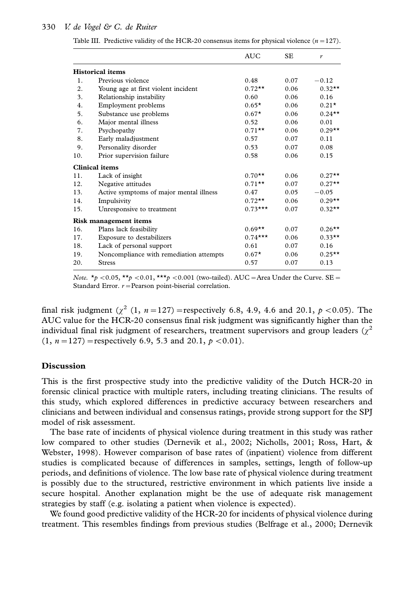|     |                                         | <b>AUC</b> | <b>SE</b> | r         |
|-----|-----------------------------------------|------------|-----------|-----------|
|     | <b>Historical items</b>                 |            |           |           |
| 1.  | Previous violence                       | 0.48       | 0.07      | $-0.12$   |
| 2.  | Young age at first violent incident     | $0.72**$   | 0.06      | $0.32**$  |
| 3.  | Relationship instability                | 0.60       | 0.06      | 0.16      |
| 4.  | Employment problems                     | $0.65*$    | 0.06      | $0.21*$   |
| 5.  | Substance use problems                  | $0.67*$    | 0.06      | $0.24***$ |
| 6.  | Major mental illness                    | 0.52       | 0.06      | 0.01      |
| 7.  | Psychopathy                             | $0.71**$   | 0.06      | $0.29**$  |
| 8.  | Early maladjustment                     | 0.57       | 0.07      | 0.11      |
| 9.  | Personality disorder                    | 0.53       | 0.07      | 0.08      |
| 10. | Prior supervision failure               | 0.58       | 0.06      | 0.15      |
|     | <b>Clinical items</b>                   |            |           |           |
| 11. | Lack of insight                         | $0.70**$   | 0.06      | $0.27**$  |
| 12. | Negative attitudes                      | $0.71**$   | 0.07      | $0.27**$  |
| 13. | Active symptoms of major mental illness | 0.47       | 0.05      | $-0.05$   |
| 14. | Impulsivity                             | $0.72**$   | 0.06      | $0.29**$  |
| 15. | Unresponsive to treatment               | $0.73***$  | 0.07      | $0.32**$  |
|     | Risk management items                   |            |           |           |
| 16. | Plans lack feasibility                  | $0.69**$   | 0.07      | $0.26**$  |
| 17. | Exposure to destabilizers               | $0.74***$  | 0.06      | $0.33**$  |
| 18. | Lack of personal support                | 0.61       | 0.07      | 0.16      |
| 19. | Noncompliance with remediation attempts | $0.67*$    | 0.06      | $0.25**$  |
| 20. | <b>Stress</b>                           | 0.57       | 0.07      | 0.13      |

Table III. Predictive validity of the HCR-20 consensus items for physical violence  $(n = 127)$ .

*Note.*  $\star_p$  < 0.05,  $\star_{p}$  < 0.01,  $\star_{p}$  < 0.001 (two-tailed). AUC = Area Under the Curve. SE = Standard Error.  $r =$  Pearson point-biserial correlation.

final risk judgment  $\left(\chi^2(1, n=127) \right)$  = respectively 6.8, 4.9, 4.6 and 20.1,  $p < 0.05$ ). The AUC value for the HCR-20 consensus final risk judgment was significantly higher than the individual final risk judgment of researchers, treatment supervisors and group leaders ( $\chi^2$ )  $(1, n=127)$  = respectively 6.9, 5.3 and 20.1,  $p < 0.01$ ).

#### Discussion

This is the first prospective study into the predictive validity of the Dutch HCR-20 in forensic clinical practice with multiple raters, including treating clinicians. The results of this study, which explored differences in predictive accuracy between researchers and clinicians and between individual and consensus ratings, provide strong support for the SPJ model of risk assessment.

The base rate of incidents of physical violence during treatment in this study was rather low compared to other studies (Dernevik et al., 2002; Nicholls, 2001; Ross, Hart, & Webster, 1998). However comparison of base rates of (inpatient) violence from different studies is complicated because of differences in samples, settings, length of follow-up periods, and definitions of violence. The low base rate of physical violence during treatment is possibly due to the structured, restrictive environment in which patients live inside a secure hospital. Another explanation might be the use of adequate risk management strategies by staff (e.g. isolating a patient when violence is expected).

We found good predictive validity of the HCR-20 for incidents of physical violence during treatment. This resembles findings from previous studies (Belfrage et al., 2000; Dernevik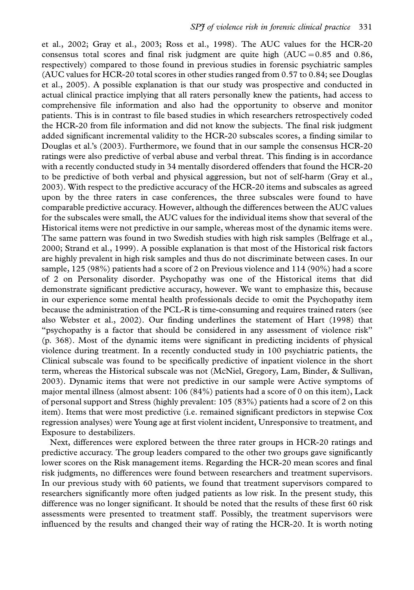et al., 2002; Gray et al., 2003; Ross et al., 1998). The AUC values for the HCR-20 consensus total scores and final risk judgment are quite high  $(AUC = 0.85$  and 0.86, respectively) compared to those found in previous studies in forensic psychiatric samples (AUC values for HCR-20 total scores in other studies ranged from 0.57 to 0.84; see Douglas et al., 2005). A possible explanation is that our study was prospective and conducted in actual clinical practice implying that all raters personally knew the patients, had access to comprehensive file information and also had the opportunity to observe and monitor patients. This is in contrast to file based studies in which researchers retrospectively coded the HCR-20 from file information and did not know the subjects. The final risk judgment added significant incremental validity to the HCR-20 subscales scores, a finding similar to Douglas et al.'s (2003). Furthermore, we found that in our sample the consensus HCR-20 ratings were also predictive of verbal abuse and verbal threat. This finding is in accordance with a recently conducted study in 34 mentally disordered offenders that found the HCR-20 to be predictive of both verbal and physical aggression, but not of self-harm (Gray et al., 2003). With respect to the predictive accuracy of the HCR-20 items and subscales as agreed upon by the three raters in case conferences, the three subscales were found to have comparable predictive accuracy. However, although the differences between the AUC values for the subscales were small, the AUC values for the individual items show that several of the Historical items were not predictive in our sample, whereas most of the dynamic items were. The same pattern was found in two Swedish studies with high risk samples (Belfrage et al., 2000; Strand et al., 1999). A possible explanation is that most of the Historical risk factors are highly prevalent in high risk samples and thus do not discriminate between cases. In our sample, 125 (98%) patients had a score of 2 on Previous violence and 114 (90%) had a score of 2 on Personality disorder. Psychopathy was one of the Historical items that did demonstrate significant predictive accuracy, however. We want to emphasize this, because in our experience some mental health professionals decide to omit the Psychopathy item because the administration of the PCL-R is time-consuming and requires trained raters (see also Webster et al., 2002). Our finding underlines the statement of Hart (1998) that ''psychopathy is a factor that should be considered in any assessment of violence risk'' (p. 368). Most of the dynamic items were significant in predicting incidents of physical violence during treatment. In a recently conducted study in 100 psychiatric patients, the Clinical subscale was found to be specifically predictive of inpatient violence in the short term, whereas the Historical subscale was not (McNiel, Gregory, Lam, Binder, & Sullivan, 2003). Dynamic items that were not predictive in our sample were Active symptoms of major mental illness (almost absent: 106 (84%) patients had a score of 0 on this item), Lack of personal support and Stress (highly prevalent: 105 (83%) patients had a score of 2 on this item). Items that were most predictive (i.e. remained significant predictors in stepwise Cox regression analyses) were Young age at first violent incident, Unresponsive to treatment, and Exposure to destabilizers.

Next, differences were explored between the three rater groups in HCR-20 ratings and predictive accuracy. The group leaders compared to the other two groups gave significantly lower scores on the Risk management items. Regarding the HCR-20 mean scores and final risk judgments, no differences were found between researchers and treatment supervisors. In our previous study with 60 patients, we found that treatment supervisors compared to researchers significantly more often judged patients as low risk. In the present study, this difference was no longer significant. It should be noted that the results of these first 60 risk assessments were presented to treatment staff. Possibly, the treatment supervisors were influenced by the results and changed their way of rating the HCR-20. It is worth noting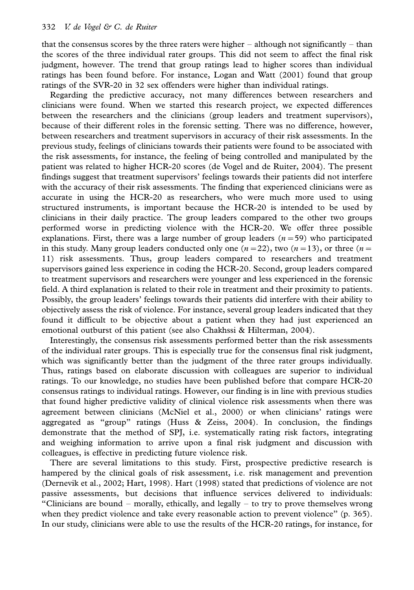that the consensus scores by the three raters were higher  $-$  although not significantly  $-$  than the scores of the three individual rater groups. This did not seem to affect the final risk judgment, however. The trend that group ratings lead to higher scores than individual ratings has been found before. For instance, Logan and Watt (2001) found that group ratings of the SVR-20 in 32 sex offenders were higher than individual ratings.

Regarding the predictive accuracy, not many differences between researchers and clinicians were found. When we started this research project, we expected differences between the researchers and the clinicians (group leaders and treatment supervisors), because of their different roles in the forensic setting. There was no difference, however, between researchers and treatment supervisors in accuracy of their risk assessments. In the previous study, feelings of clinicians towards their patients were found to be associated with the risk assessments, for instance, the feeling of being controlled and manipulated by the patient was related to higher HCR-20 scores (de Vogel and de Ruiter, 2004). The present findings suggest that treatment supervisors' feelings towards their patients did not interfere with the accuracy of their risk assessments. The finding that experienced clinicians were as accurate in using the HCR-20 as researchers, who were much more used to using structured instruments, is important because the HCR-20 is intended to be used by clinicians in their daily practice. The group leaders compared to the other two groups performed worse in predicting violence with the HCR-20. We offer three possible explanations. First, there was a large number of group leaders  $(n=59)$  who participated in this study. Many group leaders conducted only one  $(n=22)$ , two  $(n=13)$ , or three  $(n=$ 11) risk assessments. Thus, group leaders compared to researchers and treatment supervisors gained less experience in coding the HCR-20. Second, group leaders compared to treatment supervisors and researchers were younger and less experienced in the forensic field. A third explanation is related to their role in treatment and their proximity to patients. Possibly, the group leaders' feelings towards their patients did interfere with their ability to objectively assess the risk of violence. For instance, several group leaders indicated that they found it difficult to be objective about a patient when they had just experienced an emotional outburst of this patient (see also Chakhssi & Hilterman, 2004).

Interestingly, the consensus risk assessments performed better than the risk assessments of the individual rater groups. This is especially true for the consensus final risk judgment, which was significantly better than the judgment of the three rater groups individually. Thus, ratings based on elaborate discussion with colleagues are superior to individual ratings. To our knowledge, no studies have been published before that compare HCR-20 consensus ratings to individual ratings. However, our finding is in line with previous studies that found higher predictive validity of clinical violence risk assessments when there was agreement between clinicians (McNiel et al., 2000) or when clinicians' ratings were aggregated as ''group'' ratings (Huss & Zeiss, 2004). In conclusion, the findings demonstrate that the method of SPJ, i.e. systematically rating risk factors, integrating and weighing information to arrive upon a final risk judgment and discussion with colleagues, is effective in predicting future violence risk.

There are several limitations to this study. First, prospective predictive research is hampered by the clinical goals of risk assessment, i.e. risk management and prevention (Dernevik et al., 2002; Hart, 1998). Hart (1998) stated that predictions of violence are not passive assessments, but decisions that influence services delivered to individuals: "Clinicians are bound  $-$  morally, ethically, and legally  $-$  to try to prove themselves wrong when they predict violence and take every reasonable action to prevent violence'' (p. 365). In our study, clinicians were able to use the results of the HCR-20 ratings, for instance, for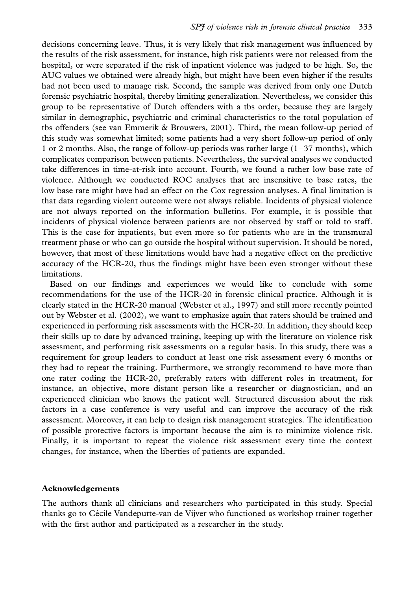decisions concerning leave. Thus, it is very likely that risk management was influenced by the results of the risk assessment, for instance, high risk patients were not released from the hospital, or were separated if the risk of inpatient violence was judged to be high. So, the AUC values we obtained were already high, but might have been even higher if the results had not been used to manage risk. Second, the sample was derived from only one Dutch forensic psychiatric hospital, thereby limiting generalization. Nevertheless, we consider this group to be representative of Dutch offenders with a tbs order, because they are largely similar in demographic, psychiatric and criminal characteristics to the total population of tbs offenders (see van Emmerik & Brouwers, 2001). Third, the mean follow-up period of this study was somewhat limited; some patients had a very short follow-up period of only 1 or 2 months. Also, the range of follow-up periods was rather large  $(1-37 \text{ months})$ , which complicates comparison between patients. Nevertheless, the survival analyses we conducted take differences in time-at-risk into account. Fourth, we found a rather low base rate of violence. Although we conducted ROC analyses that are insensitive to base rates, the low base rate might have had an effect on the Cox regression analyses. A final limitation is that data regarding violent outcome were not always reliable. Incidents of physical violence are not always reported on the information bulletins. For example, it is possible that incidents of physical violence between patients are not observed by staff or told to staff. This is the case for inpatients, but even more so for patients who are in the transmural treatment phase or who can go outside the hospital without supervision. It should be noted, however, that most of these limitations would have had a negative effect on the predictive accuracy of the HCR-20, thus the findings might have been even stronger without these limitations.

Based on our findings and experiences we would like to conclude with some recommendations for the use of the HCR-20 in forensic clinical practice. Although it is clearly stated in the HCR-20 manual (Webster et al., 1997) and still more recently pointed out by Webster et al. (2002), we want to emphasize again that raters should be trained and experienced in performing risk assessments with the HCR-20. In addition, they should keep their skills up to date by advanced training, keeping up with the literature on violence risk assessment, and performing risk assessments on a regular basis. In this study, there was a requirement for group leaders to conduct at least one risk assessment every 6 months or they had to repeat the training. Furthermore, we strongly recommend to have more than one rater coding the HCR-20, preferably raters with different roles in treatment, for instance, an objective, more distant person like a researcher or diagnostician, and an experienced clinician who knows the patient well. Structured discussion about the risk factors in a case conference is very useful and can improve the accuracy of the risk assessment. Moreover, it can help to design risk management strategies. The identification of possible protective factors is important because the aim is to minimize violence risk. Finally, it is important to repeat the violence risk assessment every time the context changes, for instance, when the liberties of patients are expanded.

#### Acknowledgements

The authors thank all clinicians and researchers who participated in this study. Special thanks go to Cécile Vandeputte-van de Vijver who functioned as workshop trainer together with the first author and participated as a researcher in the study.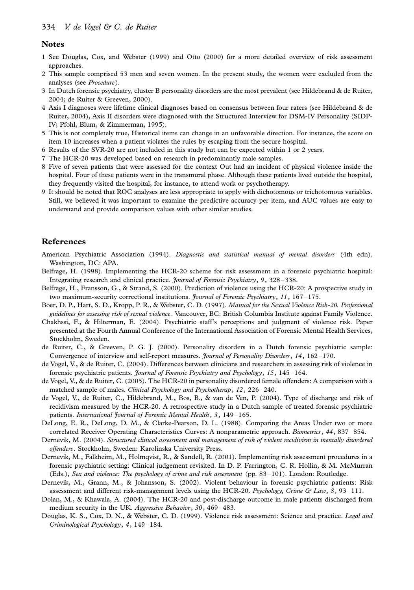## **Notes**

- 1 See Douglas, Cox, and Webster (1999) and Otto (2000) for a more detailed overview of risk assessment approaches.
- 2 This sample comprised 53 men and seven women. In the present study, the women were excluded from the analyses (see Procedure).
- 3 In Dutch forensic psychiatry, cluster B personality disorders are the most prevalent (see Hildebrand & de Ruiter, 2004; de Ruiter & Greeven, 2000).
- 4 Axis I diagnoses were lifetime clinical diagnoses based on consensus between four raters (see Hildebrand & de Ruiter, 2004), Axis II disorders were diagnosed with the Structured Interview for DSM-IV Personality (SIDP-IV; Pfohl, Blum, & Zimmerman, 1995).
- 5 This is not completely true, Historical items can change in an unfavorable direction. For instance, the score on item 10 increases when a patient violates the rules by escaping from the secure hospital.
- 6 Results of the SVR-20 are not included in this study but can be expected within 1 or 2 years.
- 7 The HCR-20 was developed based on research in predominantly male samples.
- 8 Five of seven patients that were assessed for the context Out had an incident of physical violence inside the hospital. Four of these patients were in the transmural phase. Although these patients lived outside the hospital, they frequently visited the hospital, for instance, to attend work or psychotherapy.
- 9 It should be noted that ROC analyses are less appropriate to apply with dichotomous or trichotomous variables. Still, we believed it was important to examine the predictive accuracy per item, and AUC values are easy to understand and provide comparison values with other similar studies.

### References

- American Psychiatric Association (1994). Diagnostic and statistical manual of mental disorders (4th edn). Washington, DC: APA.
- Belfrage, H. (1998). Implementing the HCR-20 scheme for risk assessment in a forensic psychiatric hospital: Integrating research and clinical practice. *Journal of Forensic Psychiatry*, 9, 328-338.
- Belfrage, H., Fransson, G., & Strand, S. (2000). Prediction of violence using the HCR-20: A prospective study in two maximum-security correctional institutions. *Journal of Forensic Psychiatry*, 11, 167–175.
- Boer, D. P., Hart, S. D., Kropp, P. R., & Webster, C. D. (1997). Manual for the Sexual Violence Risk-20. Professional guidelines for assessing risk of sexual violence. Vancouver, BC: British Columbia Institute against Family Violence.
- Chakhssi, F., & Hilterman, E. (2004). Psychiatric staff's perceptions and judgment of violence risk. Paper presented at the Fourth Annual Conference of the International Association of Forensic Mental Health Services, Stockholm, Sweden.
- de Ruiter, C., & Greeven, P. G. J. (2000). Personality disorders in a Dutch forensic psychiatric sample: Convergence of interview and self-report measures. *Journal of Personality Disorders*,  $14$ ,  $162-170$ .
- de Vogel, V., & de Ruiter, C. (2004). Differences between clinicians and researchers in assessing risk of violence in forensic psychiatric patients. *Journal of Forensic Psychiatry and Psychology*, 15, 145–164.
- de Vogel, V., & de Ruiter, C. (2005). The HCR-20 in personality disordered female offenders: A comparison with a matched sample of males. Clinical Psychology and Psychotherap, 12, 226-240.
- de Vogel, V., de Ruiter, C., Hildebrand, M., Bos, B., & van de Ven, P. (2004). Type of discharge and risk of recidivism measured by the HCR-20. A retrospective study in a Dutch sample of treated forensic psychiatric patients. International Journal of Forensic Mental Health, 3, 149-165.
- DeLong, E. R., DeLong, D. M., & Clarke-Pearson, D. L. (1988). Comparing the Areas Under two or more correlated Receiver Operating Characteristics Curves: A nonparametric approach. Biometrics, 44, 837–854.
- Dernevik, M. (2004). Structured clinical assessment and management of risk of violent recidivism in mentally disordered offenders. Stockholm, Sweden: Karolinska University Press.
- Dernevik, M., Falkheim, M., Holmqvist, R., & Sandell, R. (2001). Implementing risk assessment procedures in a forensic psychiatric setting: Clinical judgement revisited. In D. P. Farrington, C. R. Hollin, & M. McMurran (Eds.), Sex and violence: The psychology of crime and risk assessment (pp. 83–101). London: Routledge.
- Dernevik, M., Grann, M., & Johansson, S. (2002). Violent behaviour in forensic psychiatric patients: Risk assessment and different risk-management levels using the HCR-20. Psychology, Crime & Law, 8, 93-111.
- Dolan, M., & Khawala, A. (2004). The HCR-20 and post-discharge outcome in male patients discharged from medium security in the UK. Aggressive Behavior, 30, 469-483.
- Douglas, K. S., Cox, D. N., & Webster, C. D. (1999). Violence risk assessment: Science and practice. Legal and Criminological Psychology,  $4, 149-184$ .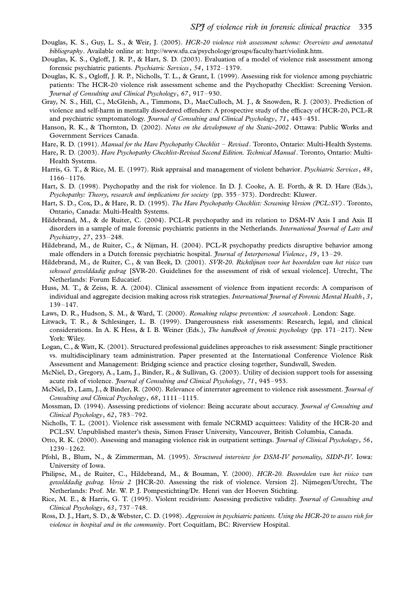- Douglas, K. S., Guy, L. S., & Weir, J. (2005). HCR-20 violence risk assessment scheme: Overview and annotated bibliography. Available online at: http://www.sfu.ca/psychology/groups/faculty/hart/violink.htm.
- Douglas, K. S., Ogloff, J. R. P., & Hart, S. D. (2003). Evaluation of a model of violence risk assessment among forensic psychiatric patients. Psychiatric Services, 54, 1372-1379.
- Douglas, K. S., Ogloff, J. R. P., Nicholls, T. L., & Grant, I. (1999). Assessing risk for violence among psychiatric patients: The HCR-20 violence risk assessment scheme and the Psychopathy Checklist: Screening Version.  $\eta$ ournal of Consulting and Clinical Psychology, 67, 917–930.
- Gray, N. S., Hill, C., McGleish, A., Timmons, D., MacCulloch, M. J., & Snowden, R. J. (2003). Prediction of violence and self-harm in mentally disordered offenders: A prospective study of the efficacy of HCR-20, PCL-R and psychiatric symptomatology. *Journal of Consulting and Clinical Psychology*, 71, 443–451.
- Hanson, R. K., & Thornton, D. (2002). Notes on the development of the Static-2002. Ottawa: Public Works and Government Services Canada.
- Hare, R. D. (1991). Manual for the Hare Psychopathy Checklist Revised. Toronto, Ontario: Multi-Health Systems.
- Hare, R. D. (2003). Hare Psychopathy Checklist-Revised Second Edition. Technical Manual. Toronto, Ontario: Multi-Health Systems.
- Harris, G. T., & Rice, M. E. (1997). Risk appraisal and management of violent behavior. Psychiatric Services, 48, 1166-1176.
- Hart, S. D. (1998). Psychopathy and the risk for violence. In D. J. Cooke, A. E. Forth, & R. D. Hare (Eds.), Psychopathy: Theory, research and implications for society (pp. 355-373). Dordrecht: Kluwer.
- Hart, S. D., Cox, D., & Hare, R. D. (1995). The Hare Psychopathy Checklist: Screening Version (PCL:SV). Toronto, Ontario, Canada: Multi-Health Systems.
- Hildebrand, M., & de Ruiter, C. (2004). PCL-R psychopathy and its relation to DSM-IV Axis I and Axis II disorders in a sample of male forensic psychiatric patients in the Netherlands. International Journal of Law and Psychiatry, 27, 233-248.
- Hildebrand, M., de Ruiter, C., & Nijman, H. (2004). PCL-R psychopathy predicts disruptive behavior among male offenders in a Dutch forensic psychiatric hospital. *Journal of Interpersonal Violence*, 19, 13–29.
- Hildebrand, M., de Ruiter, C., & van Beek, D. (2001). SVR-20. Richtlijnen voor het beoordelen van het risico van seksueel gewelddadig gedrag [SVR-20. Guidelines for the assessment of risk of sexual violence]. Utrecht, The Netherlands: Forum Educatief.
- Huss, M. T., & Zeiss, R. A. (2004). Clinical assessment of violence from inpatient records: A comparison of individual and aggregate decision making across risk strategies. International Journal of Forensic Mental Health, 3,  $139 - 147.$
- Laws, D. R., Hudson, S. M., & Ward, T. (2000). Remaking relapse prevention: A sourcebook. London: Sage.
- Litwack, T. R., & Schlesinger, L. B. (1999). Dangerousness risk assessments: Research, legal, and clinical considerations. In A. K Hess, & I. B. Weiner (Eds.), *The handbook of forensic psychology* (pp.  $171-217$ ). New York: Wiley.
- Logan, C., & Watt, K. (2001). Structured professional guidelines approaches to risk assessment: Single practitioner vs. multidisciplinary team administration. Paper presented at the International Conference Violence Risk Assessment and Management: Bridging science and practice closing together, Sundsvall, Sweden.
- McNiel, D., Gregory, A., Lam, J., Binder, R., & Sullivan, G. (2003). Utility of decision support tools for assessing acute risk of violence. *Journal of Consulting and Clinical Psychology*, 71, 945-953.
- McNiel, D., Lam, J., & Binder, R. (2000). Relevance of interrater agreement to violence risk assessment. *Journal of* Consulting and Clinical Psychology,  $68$ ,  $1111-1115$ .
- Mossman, D. (1994). Assessing predictions of violence: Being accurate about accuracy. Journal of Consulting and Clinical Psychology, 62, 783-792.
- Nicholls, T. L. (2001). Violence risk assessment with female NCRMD acquittees: Validity of the HCR-20 and PCL:SV. Unpublished master's thesis, Simon Fraser University, Vancouver, British Columbia, Canada.
- Otto, R. K. (2000). Assessing and managing violence risk in outpatient settings. *Journal of Clinical Psychology*, 56, 1239-1262.
- Pfohl, B., Blum, N., & Zimmerman, M. (1995). Structured interview for DSM-IV personality, SIDP-IV. Iowa: University of Iowa.
- Philipse, M., de Ruiter, C., Hildebrand, M., & Bouman, Y. (2000). HCR-20. Beoordelen van het risico van gewelddadig gedrag. Versie 2 [HCR-20. Assessing the risk of violence. Version 2]. Nijmegen/Utrecht, The Netherlands: Prof. Mr. W. P. J. Pompestichting/Dr. Henri van der Hoeven Stichting.
- Rice, M. E., & Harris, G. T. (1995). Violent recidivism: Assessing predictive validity. *Journal of Consulting and* Clinical Psychology,  $63$ ,  $737-748$ .
- Ross, D. J., Hart, S. D., & Webster, C. D. (1998). Aggression in psychiatric patients. Using the HCR-20 to assess risk for violence in hospital and in the community. Port Coquitlam, BC: Riverview Hospital.